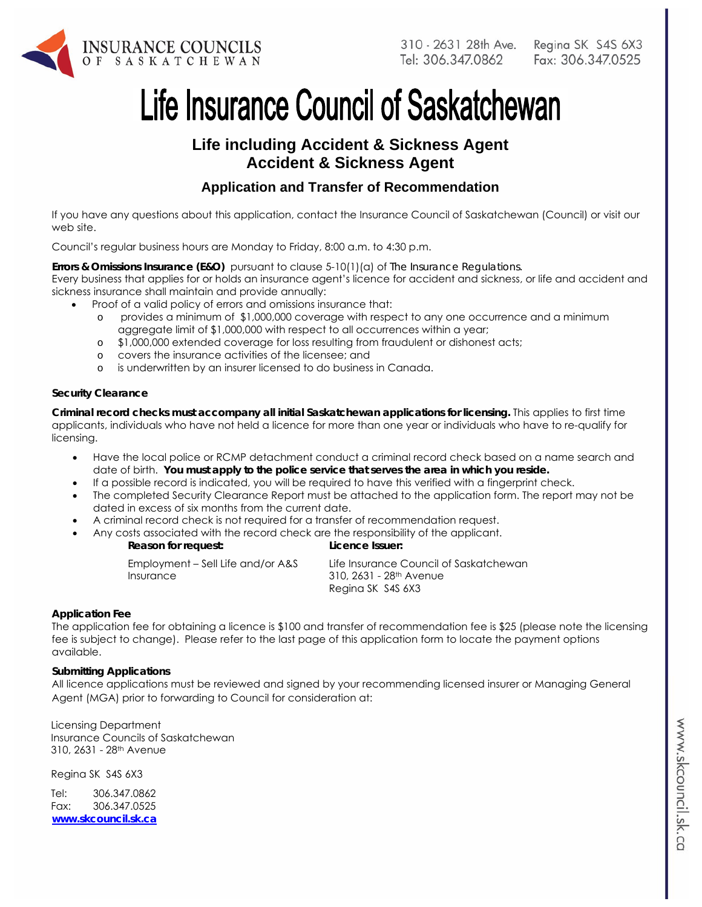

Regina SK S4S 6X3 Fax: 306.347.0525

# Life Insurance Council of Saskatchewan

# **Life including Accident & Sickness Agent Accident & Sickness Agent**

# **Application and Transfer of Recommendation**

If you have any questions about this application, contact the Insurance Council of Saskatchewan (Council) or visit our web site.

Council's regular business hours are Monday to Friday, 8:00 a.m. to 4:30 p.m.

**Errors & Omissions Insurance (E&O)** pursuant to clause 5-10(1)(a) of *The Insurance Regulations.*  Every business that applies for or holds an insurance agent's licence for accident and sickness, or life and accident and sickness insurance shall maintain and provide annually:

- Proof of a valid policy of errors and omissions insurance that:
	- o provides a minimum of \$1,000,000 coverage with respect to any one occurrence and a minimum aggregate limit of \$1,000,000 with respect to all occurrences within a year;
	- o \$1,000,000 extended coverage for loss resulting from fraudulent or dishonest acts;
	- o covers the insurance activities of the licensee; and
	- o is underwritten by an insurer licensed to do business in Canada.

#### **Security Clearance**

**Criminal record checks must accompany all initial Saskatchewan applications for licensing.** This applies to first time applicants, individuals who have not held a licence for more than one year or individuals who have to re-qualify for licensing.

- Have the local police or RCMP detachment conduct a criminal record check based on a name search and date of birth. **You must apply to the police service that serves the area in which you reside.**
- If a possible record is indicated, you will be required to have this verified with a fingerprint check.
- The completed Security Clearance Report must be attached to the application form. The report may not be dated in excess of six months from the current date.
- A criminal record check is not required for a transfer of recommendation request.
- Any costs associated with the record check are the responsibility of the applicant.

**Reason for request: Licence Issuer:** 

Employment – Sell Life and/or A&S Insurance

Life Insurance Council of Saskatchewan 310, 2631 - 28th Avenue Regina SK S4S 6X3

#### **Application Fee**

The application fee for obtaining a licence is \$100 and transfer of recommendation fee is \$25 (please note the licensing fee is subject to change). Please refer to the last page of this application form to locate the payment options available.

#### **Submitting Applications**

All licence applications must be reviewed and signed by your recommending licensed insurer or Managing General Agent (MGA) prior to forwarding to Council for consideration at:

Licensing Department Insurance Councils of Saskatchewan 310, 2631 - 28th Avenue

Regina SK S4S 6X3

Tel: 306.347.0862 Fax: 306.347.0525 **www.skcouncil.sk.ca**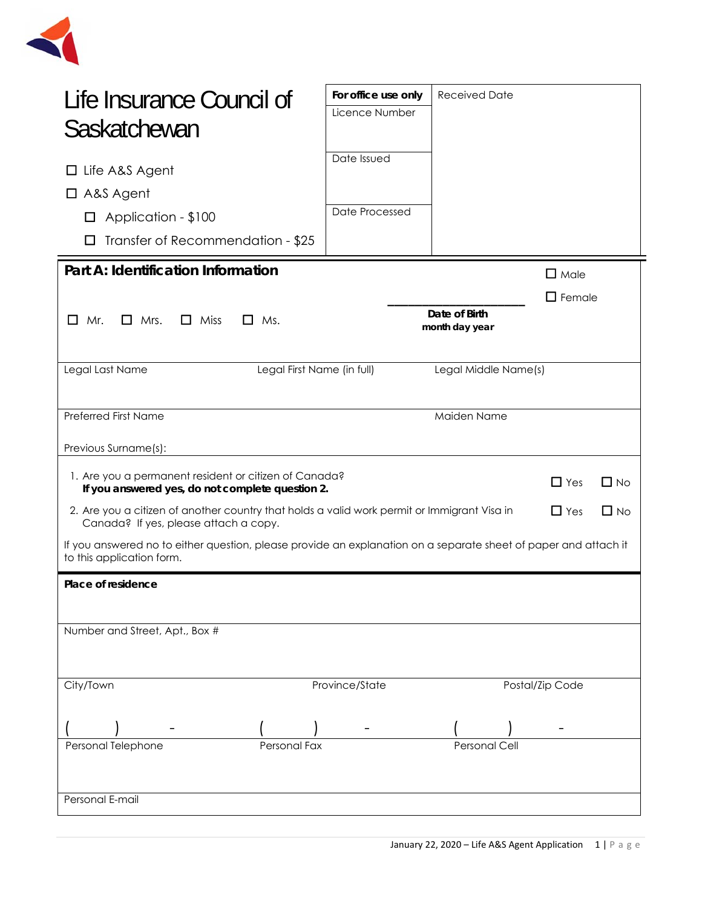

| Life Insurance Council of<br>Saskatchewan                                                                                                                       | For office use only<br>Licence Number              | <b>Received Date</b>            |                  |  |
|-----------------------------------------------------------------------------------------------------------------------------------------------------------------|----------------------------------------------------|---------------------------------|------------------|--|
| Life A&S Agent<br>ப<br>$\Box$ A&S Agent<br>Application - \$100<br>$\Box$<br>Transfer of Recommendation - \$25                                                   | Date Issued<br>Date Processed                      |                                 |                  |  |
| Part A: Identification Information                                                                                                                              |                                                    |                                 | $\Box$ Male      |  |
| $\Box$ Mrs.<br>$\Box$ Miss<br>$\Box$<br>Mr.<br>$\Box$ Ms.                                                                                                       |                                                    | Date of Birth<br>month day year | $\square$ Female |  |
| Legal Last Name                                                                                                                                                 | Legal First Name (in full)<br>Legal Middle Name(s) |                                 |                  |  |
| <b>Preferred First Name</b>                                                                                                                                     |                                                    | Maiden Name                     |                  |  |
| Previous Surname(s):                                                                                                                                            |                                                    |                                 |                  |  |
| 1. Are you a permanent resident or citizen of Canada?<br>$\Box$ Yes<br>$\Box$ No<br>If you answered yes, do not complete question 2.                            |                                                    |                                 |                  |  |
| $\Box$ Yes<br>$\Box$ No<br>2. Are you a citizen of another country that holds a valid work permit or Immigrant Visa in<br>Canada? If yes, please attach a copy. |                                                    |                                 |                  |  |
| If you answered no to either question, please provide an explanation on a separate sheet of paper and attach it<br>to this application form.                    |                                                    |                                 |                  |  |
| Place of residence                                                                                                                                              |                                                    |                                 |                  |  |
| Number and Street, Apt., Box #                                                                                                                                  |                                                    |                                 |                  |  |
| City/Town                                                                                                                                                       | Province/State                                     |                                 | Postal/Zip Code  |  |
|                                                                                                                                                                 |                                                    |                                 |                  |  |
| Personal Telephone<br>Personal Fax                                                                                                                              |                                                    | Personal Cell                   |                  |  |
| Personal E-mail                                                                                                                                                 |                                                    |                                 |                  |  |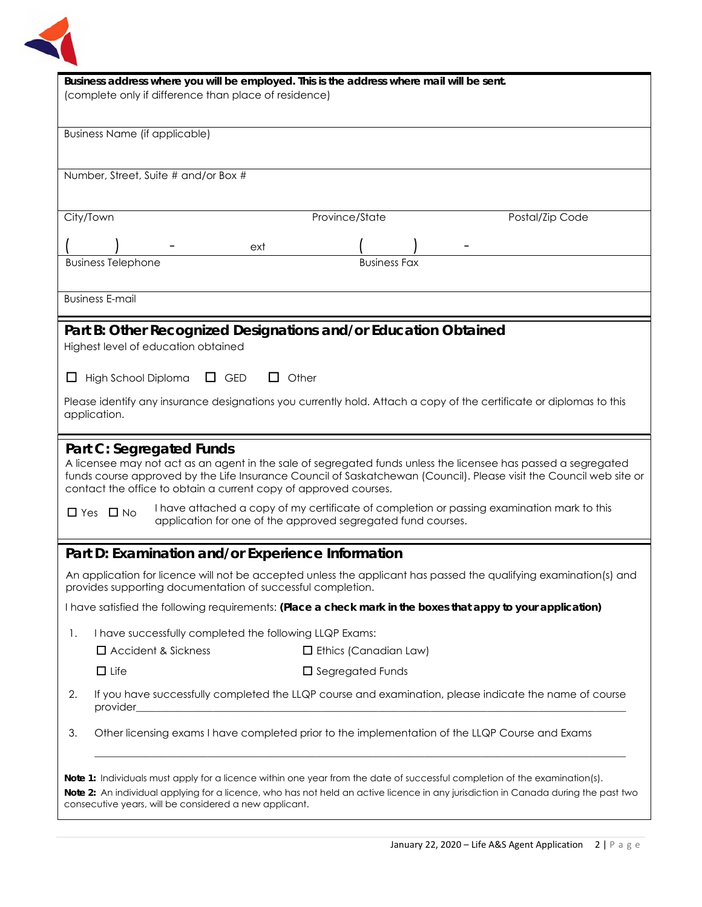

| Business address where you will be employed. This is the address where mail will be sent.<br>(complete only if difference than place of residence)                                                                                                                                                                                    |  |  |  |
|---------------------------------------------------------------------------------------------------------------------------------------------------------------------------------------------------------------------------------------------------------------------------------------------------------------------------------------|--|--|--|
| <b>Business Name (if applicable)</b>                                                                                                                                                                                                                                                                                                  |  |  |  |
| Number, Street, Suite # and/or Box #                                                                                                                                                                                                                                                                                                  |  |  |  |
| City/Town<br>Province/State<br>Postal/Zip Code                                                                                                                                                                                                                                                                                        |  |  |  |
| ext                                                                                                                                                                                                                                                                                                                                   |  |  |  |
| <b>Business Telephone</b><br><b>Business Fax</b>                                                                                                                                                                                                                                                                                      |  |  |  |
| <b>Business E-mail</b>                                                                                                                                                                                                                                                                                                                |  |  |  |
| Part B: Other Recognized Designations and/or Education Obtained<br>Highest level of education obtained                                                                                                                                                                                                                                |  |  |  |
| $\Box$ Other<br>High School Diploma<br>$\Box$ GED<br>ப                                                                                                                                                                                                                                                                                |  |  |  |
| Please identify any insurance designations you currently hold. Attach a copy of the certificate or diplomas to this<br>application.                                                                                                                                                                                                   |  |  |  |
| Part C: Segregated Funds<br>A licensee may not act as an agent in the sale of segregated funds unless the licensee has passed a segregated<br>funds course approved by the Life Insurance Council of Saskatchewan (Council). Please visit the Council web site or<br>contact the office to obtain a current copy of approved courses. |  |  |  |
| I have attached a copy of my certificate of completion or passing examination mark to this<br>$\Box$ Yes $\Box$ No<br>application for one of the approved segregated fund courses.                                                                                                                                                    |  |  |  |
| Part D: Examination and/or Experience Information                                                                                                                                                                                                                                                                                     |  |  |  |
| An application for licence will not be accepted unless the applicant has passed the qualifying examination(s) and<br>provides supporting documentation of successful completion.                                                                                                                                                      |  |  |  |
| I have satisfied the following requirements: (Place a check mark in the boxes that appy to your application)                                                                                                                                                                                                                          |  |  |  |
| I have successfully completed the following LLQP Exams:<br>1.                                                                                                                                                                                                                                                                         |  |  |  |
| $\Box$ Accident & Sickness<br>$\Box$ Ethics (Canadian Law)                                                                                                                                                                                                                                                                            |  |  |  |
| $\Box$ Life<br>$\Box$ Segregated Funds                                                                                                                                                                                                                                                                                                |  |  |  |
| If you have successfully completed the LLQP course and examination, please indicate the name of course<br>2.<br>provider                                                                                                                                                                                                              |  |  |  |
| Other licensing exams I have completed prior to the implementation of the LLQP Course and Exams<br>3.                                                                                                                                                                                                                                 |  |  |  |
| Note 1: Individuals must apply for a licence within one year from the date of successful completion of the examination(s).<br>Note 2: An individual applying for a licence, who has not held an active licence in any jurisdiction in Canada during the past two<br>consecutive years, will be considered a new applicant.            |  |  |  |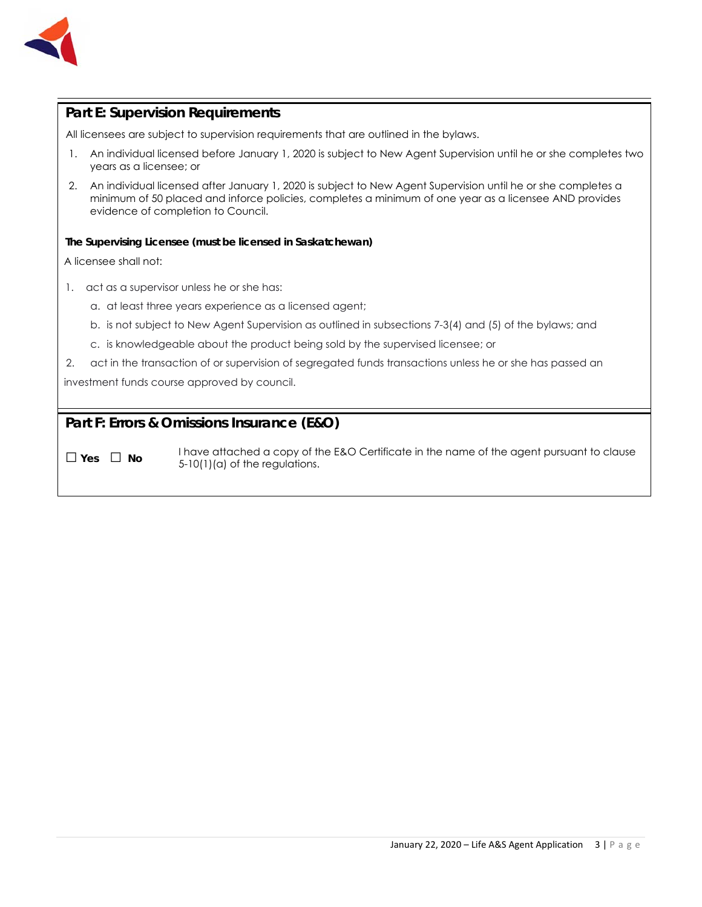

#### **Part E: Supervision Requirements**

All licensees are subject to supervision requirements that are outlined in the bylaws.

- 1. An individual licensed before January 1, 2020 is subject to New Agent Supervision until he or she completes two years as a licensee; or
- 2. An individual licensed after January 1, 2020 is subject to New Agent Supervision until he or she completes a minimum of 50 placed and inforce policies, completes a minimum of one year as a licensee AND provides evidence of completion to Council.

#### **The Supervising Licensee (must be licensed in Saskatchewan)**

A licensee shall not:

- 1. act as a supervisor unless he or she has:
	- a. at least three years experience as a licensed agent;
	- b. is not subject to New Agent Supervision as outlined in subsections 7-3(4) and (5) of the bylaws; and
	- c. is knowledgeable about the product being sold by the supervised licensee; or
- 2. act in the transaction of or supervision of segregated funds transactions unless he or she has passed an

investment funds course approved by council.

#### **Part F: Errors & Omissions Insurance (E&O)**

□ **Yes** □ **No**I have attached a copy of the E&O Certificate in the name of the agent pursuant to clause 5-10(1)(a) of the regulations.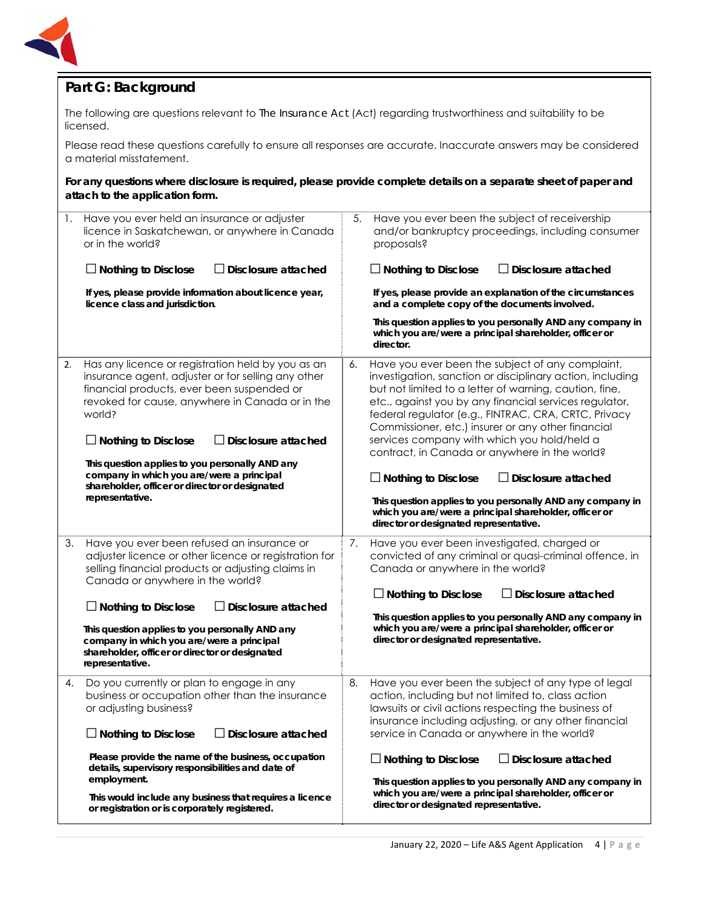

## **Part G: Background**

The following are questions relevant to *The Insurance Act* (Act) regarding trustworthiness and suitability to be licensed.

Please read these questions carefully to ensure all responses are accurate. Inaccurate answers may be considered a material misstatement.

**For any questions where disclosure is required, please provide complete details on a separate sheet of paper and attach to the application form.**

| 1. | Have you ever held an insurance or adjuster<br>licence in Saskatchewan, or anywhere in Canada<br>or in the world?                                                                                                                                                                                                                                                                                                                                   | 5. | Have you ever been the subject of receivership<br>and/or bankruptcy proceedings, including consumer<br>proposals?                                                                                                                                                                                                                                                                                                                                                                                                                                                                                                                                                             |
|----|-----------------------------------------------------------------------------------------------------------------------------------------------------------------------------------------------------------------------------------------------------------------------------------------------------------------------------------------------------------------------------------------------------------------------------------------------------|----|-------------------------------------------------------------------------------------------------------------------------------------------------------------------------------------------------------------------------------------------------------------------------------------------------------------------------------------------------------------------------------------------------------------------------------------------------------------------------------------------------------------------------------------------------------------------------------------------------------------------------------------------------------------------------------|
|    | $\Box$ Nothing to Disclose<br>Disclosure attached                                                                                                                                                                                                                                                                                                                                                                                                   |    | $\Box$ Nothing to Disclose<br>$\Box$ Disclosure attached                                                                                                                                                                                                                                                                                                                                                                                                                                                                                                                                                                                                                      |
|    | If yes, please provide information about licence year,<br>licence class and jurisdiction.                                                                                                                                                                                                                                                                                                                                                           |    | If yes, please provide an explanation of the circumstances<br>and a complete copy of the documents involved.                                                                                                                                                                                                                                                                                                                                                                                                                                                                                                                                                                  |
|    |                                                                                                                                                                                                                                                                                                                                                                                                                                                     |    | This question applies to you personally AND any company in<br>which you are/were a principal shareholder, officer or<br>director.                                                                                                                                                                                                                                                                                                                                                                                                                                                                                                                                             |
| 2. | Has any licence or registration held by you as an<br>insurance agent, adjuster or for selling any other<br>financial products, ever been suspended or<br>revoked for cause, anywhere in Canada or in the<br>world?<br>$\Box$ Nothing to Disclose<br>$\Box$ Disclosure attached<br>This question applies to you personally AND any<br>company in which you are/were a principal<br>shareholder, officer or director or designated<br>representative. | 6. | Have you ever been the subject of any complaint,<br>investigation, sanction or disciplinary action, including<br>but not limited to a letter of warning, caution, fine,<br>etc., against you by any financial services regulator,<br>federal regulator (e.g., FINTRAC, CRA, CRTC, Privacy<br>Commissioner, etc.) insurer or any other financial<br>services company with which you hold/held a<br>contract, in Canada or anywhere in the world?<br>$\Box$ Nothing to Disclose<br>$\Box$ Disclosure attached<br>This question applies to you personally AND any company in<br>which you are/were a principal shareholder, officer or<br>director or designated representative. |
| 3. | Have you ever been refused an insurance or<br>adjuster licence or other licence or registration for<br>selling financial products or adjusting claims in<br>Canada or anywhere in the world?<br>$\Box$ Nothing to Disclose<br>$\Box$ Disclosure attached<br>This question applies to you personally AND any<br>company in which you are/were a principal<br>shareholder, officer or director or designated<br>representative.                       | 7. | Have you ever been investigated, charged or<br>convicted of any criminal or quasi-criminal offence, in<br>Canada or anywhere in the world?<br>$\Box$ Nothing to Disclose<br>$\Box$ Disclosure attached<br>This question applies to you personally AND any company in<br>which you are/were a principal shareholder, officer or<br>director or designated representative.                                                                                                                                                                                                                                                                                                      |
| 4. | Do you currently or plan to engage in any<br>business or occupation other than the insurance<br>or adjusting business?<br>$\Box$ Disclosure attached<br>$\Box$ Nothing to Disclose<br>Please provide the name of the business, occupation<br>details, supervisory responsibilities and date of<br>employment.<br>This would include any business that requires a licence<br>or registration or is corporately registered.                           | 8. | Have you ever been the subject of any type of legal<br>action, including but not limited to, class action<br>lawsuits or civil actions respecting the business of<br>insurance including adjusting, or any other financial<br>service in Canada or anywhere in the world?<br>$\Box$ Disclosure attached<br>$\Box$ Nothing to Disclose<br>This question applies to you personally AND any company in<br>which you are/were a principal shareholder, officer or<br>director or designated representative.                                                                                                                                                                       |
|    |                                                                                                                                                                                                                                                                                                                                                                                                                                                     |    |                                                                                                                                                                                                                                                                                                                                                                                                                                                                                                                                                                                                                                                                               |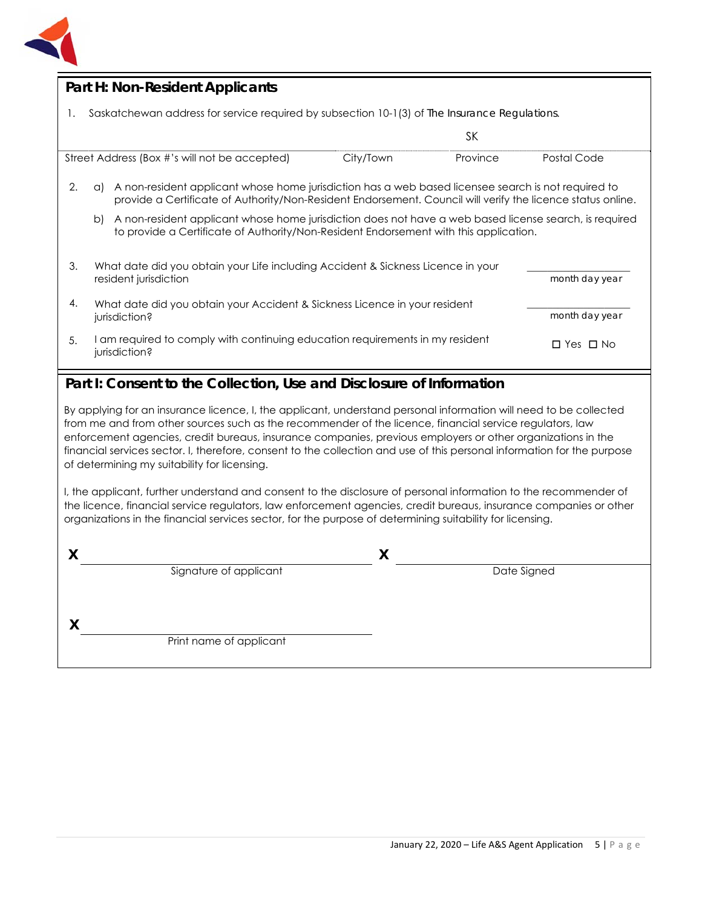

#### **Part H: Non-Resident Applicants**

1. Saskatchewan address for service required by subsection 10-1(3) of *The Insurance Regulations*.

|                                                                                        |                                                                                                                                                                                                                           |  |                      | SΚ             |                |
|----------------------------------------------------------------------------------------|---------------------------------------------------------------------------------------------------------------------------------------------------------------------------------------------------------------------------|--|----------------------|----------------|----------------|
| Street Address (Box #'s will not be accepted)                                          |                                                                                                                                                                                                                           |  | City/Town            | Province       | Postal Code    |
| 2.                                                                                     | A non-resident applicant whose home jurisdiction has a web based licensee search is not required to<br>(C)<br>provide a Certificate of Authority/Non-Resident Endorsement. Council will verify the licence status online. |  |                      |                |                |
|                                                                                        | A non-resident applicant whose home jurisdiction does not have a web based license search, is required<br>b)<br>to provide a Certificate of Authority/Non-Resident Endorsement with this application.                     |  |                      |                |                |
| 3.<br>What date did you obtain your Life including Accident & Sickness Licence in your |                                                                                                                                                                                                                           |  |                      |                |                |
| resident jurisdiction                                                                  |                                                                                                                                                                                                                           |  |                      | month day year |                |
| 4.                                                                                     | What date did you obtain your Accident & Sickness Licence in your resident<br>jurisdiction?                                                                                                                               |  |                      |                | month day year |
| 5.                                                                                     | am required to comply with continuing education requirements in my resident<br>jurisdiction?                                                                                                                              |  | $\Box$ Yes $\Box$ No |                |                |

### **Part I: Consent to the Collection, Use and Disclosure of Information**

By applying for an insurance licence, I, the applicant, understand personal information will need to be collected from me and from other sources such as the recommender of the licence, financial service regulators, law enforcement agencies, credit bureaus, insurance companies, previous employers or other organizations in the financial services sector. I, therefore, consent to the collection and use of this personal information for the purpose of determining my suitability for licensing.

I, the applicant, further understand and consent to the disclosure of personal information to the recommender of the licence, financial service regulators, law enforcement agencies, credit bureaus, insurance companies or other organizations in the financial services sector, for the purpose of determining suitability for licensing.

| Signature of applicant  | Date Signed |
|-------------------------|-------------|
|                         |             |
|                         |             |
| Print name of applicant |             |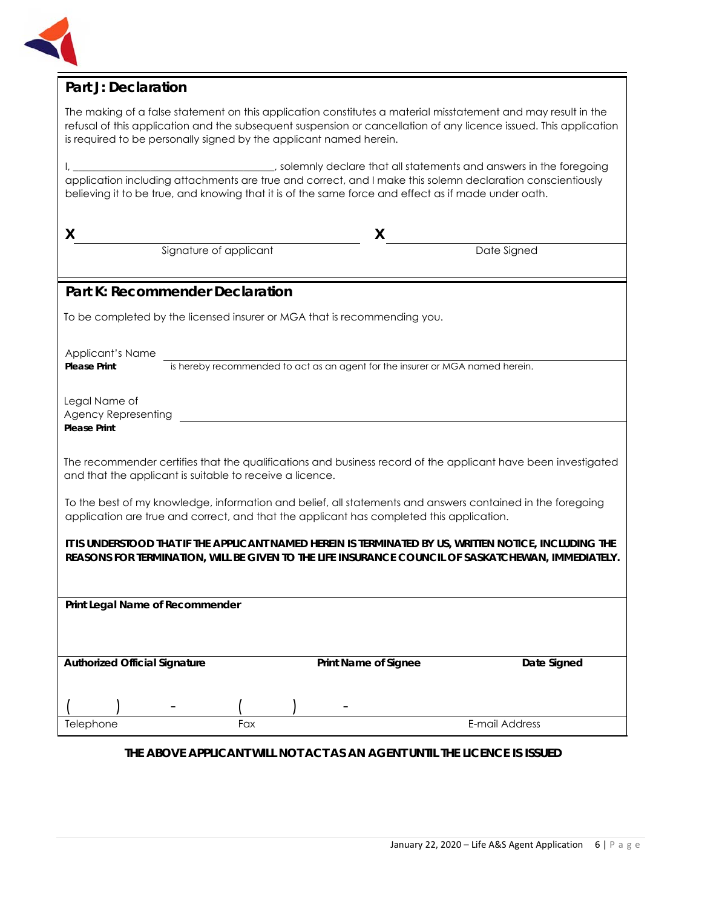

# **Part J: Declaration**

The making of a false statement on this application constitutes a material misstatement and may result in the refusal of this application and the subsequent suspension or cancellation of any licence issued. This application is required to be personally signed by the applicant named herein.

I, \_\_\_\_\_\_\_\_\_\_\_\_\_\_\_\_\_\_\_\_\_\_\_\_\_\_\_\_\_\_\_\_\_\_, solemnly declare that all statements and answers in the foregoing application including attachments are true and correct, and I make this solemn declaration conscientiously believing it to be true, and knowing that it is of the same force and effect as if made under oath.

| X                                                                                                  |                                                          | X                                                                                        |                                                                                                               |
|----------------------------------------------------------------------------------------------------|----------------------------------------------------------|------------------------------------------------------------------------------------------|---------------------------------------------------------------------------------------------------------------|
|                                                                                                    | Signature of applicant                                   |                                                                                          | Date Signed                                                                                                   |
|                                                                                                    | <b>Part K: Recommender Declaration</b>                   |                                                                                          |                                                                                                               |
|                                                                                                    |                                                          | To be completed by the licensed insurer or MGA that is recommending you.                 |                                                                                                               |
|                                                                                                    |                                                          |                                                                                          |                                                                                                               |
| Applicant's Name                                                                                   |                                                          | is hereby recommended to act as an agent for the insurer or MGA named herein.            |                                                                                                               |
| <b>Please Print</b>                                                                                |                                                          |                                                                                          |                                                                                                               |
| Legal Name of                                                                                      |                                                          |                                                                                          |                                                                                                               |
| <b>Agency Representing</b><br><b>Please Print</b>                                                  |                                                          |                                                                                          |                                                                                                               |
|                                                                                                    |                                                          |                                                                                          |                                                                                                               |
|                                                                                                    | and that the applicant is suitable to receive a licence. |                                                                                          | The recommender certifies that the qualifications and business record of the applicant have been investigated |
|                                                                                                    |                                                          |                                                                                          | To the best of my knowledge, information and belief, all statements and answers contained in the foregoing    |
|                                                                                                    |                                                          | application are true and correct, and that the applicant has completed this application. |                                                                                                               |
|                                                                                                    |                                                          |                                                                                          | IT IS UNDERSTOOD THAT IF THE APPLICANT NAMED HEREIN IS TERMINATED BY US, WRITTEN NOTICE, INCLUDING THE        |
| REASONS FOR TERMINATION, WILL BE GIVEN TO THE LIFE INSURANCE COUNCIL OF SASKATCHEWAN, IMMEDIATELY. |                                                          |                                                                                          |                                                                                                               |
|                                                                                                    |                                                          |                                                                                          |                                                                                                               |
| Print Legal Name of Recommender                                                                    |                                                          |                                                                                          |                                                                                                               |
|                                                                                                    |                                                          |                                                                                          |                                                                                                               |
| <b>Authorized Official Signature</b>                                                               |                                                          | Print Name of Signee                                                                     | Date Signed                                                                                                   |
|                                                                                                    |                                                          |                                                                                          |                                                                                                               |
|                                                                                                    |                                                          |                                                                                          |                                                                                                               |
| Telephone                                                                                          | Fax                                                      |                                                                                          | E-mail Address                                                                                                |

#### **THE ABOVE APPLICANT WILL NOT ACT AS AN AGENT UNTIL THE LICENCE IS ISSUED**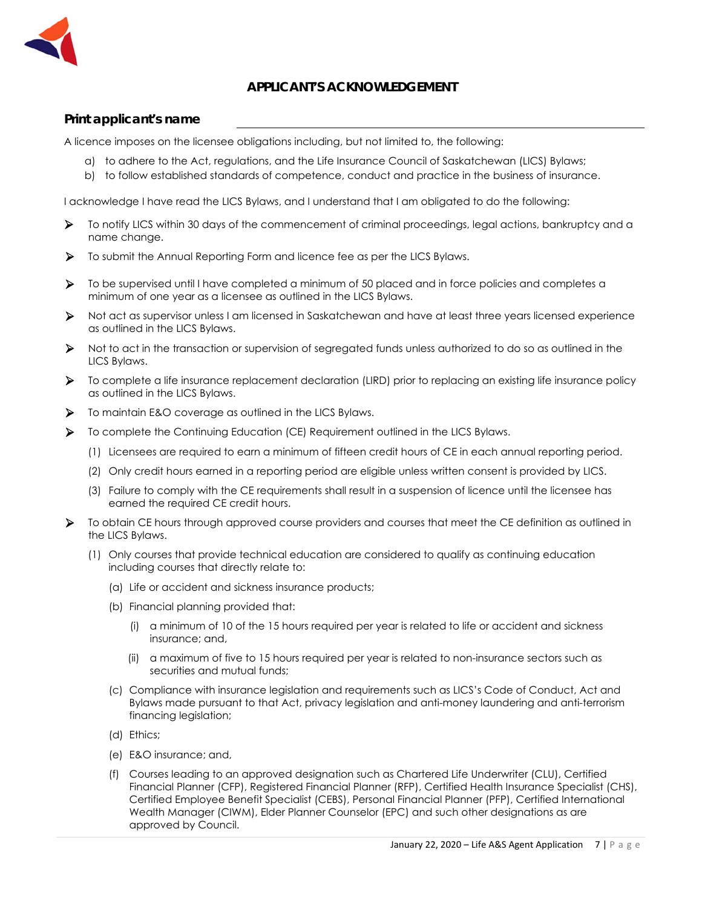

#### **APPLICANT'S ACKNOWLEDGEMENT**

#### **Print applicant's name**

A licence imposes on the licensee obligations including, but not limited to, the following:

- a) to adhere to the Act, regulations, and the Life Insurance Council of Saskatchewan (LICS) Bylaws;
- b) to follow established standards of competence, conduct and practice in the business of insurance.

I acknowledge I have read the LICS Bylaws, and I understand that I am obligated to do the following:

- To notify LICS within 30 days of the commencement of criminal proceedings, legal actions, bankruptcy and a name change.
- To submit the Annual Reporting Form and licence fee as per the LICS Bylaws.
- To be supervised until I have completed a minimum of 50 placed and in force policies and completes a minimum of one year as a licensee as outlined in the LICS Bylaws.
- Not act as supervisor unless I am licensed in Saskatchewan and have at least three years licensed experience as outlined in the LICS Bylaws.
- Not to act in the transaction or supervision of segregated funds unless authorized to do so as outlined in the LICS Bylaws.
- To complete a life insurance replacement declaration (LIRD) prior to replacing an existing life insurance policy as outlined in the LICS Bylaws.
- To maintain E&O coverage as outlined in the LICS Bylaws.
- To complete the Continuing Education (CE) Requirement outlined in the LICS Bylaws.
	- (1) Licensees are required to earn a minimum of fifteen credit hours of CE in each annual reporting period.
	- (2) Only credit hours earned in a reporting period are eligible unless written consent is provided by LICS.
	- (3) Failure to comply with the CE requirements shall result in a suspension of licence until the licensee has earned the required CE credit hours.
- To obtain CE hours through approved course providers and courses that meet the CE definition as outlined in the LICS Bylaws.
	- (1) Only courses that provide technical education are considered to qualify as continuing education including courses that directly relate to:
		- (a) Life or accident and sickness insurance products;
		- (b) Financial planning provided that:
			- (i) a minimum of 10 of the 15 hours required per year is related to life or accident and sickness insurance; and,
			- (ii) a maximum of five to 15 hours required per year is related to non-insurance sectors such as securities and mutual funds;
		- (c) Compliance with insurance legislation and requirements such as LICS's Code of Conduct, Act and Bylaws made pursuant to that Act, privacy legislation and anti-money laundering and anti-terrorism financing legislation;
		- (d) Ethics;
		- (e) E&O insurance; and,
		- (f) Courses leading to an approved designation such as Chartered Life Underwriter (CLU), Certified Financial Planner (CFP), Registered Financial Planner (RFP), Certified Health Insurance Specialist (CHS), Certified Employee Benefit Specialist (CEBS), Personal Financial Planner (PFP), Certified International Wealth Manager (CIWM), Elder Planner Counselor (EPC) and such other designations as are approved by Council.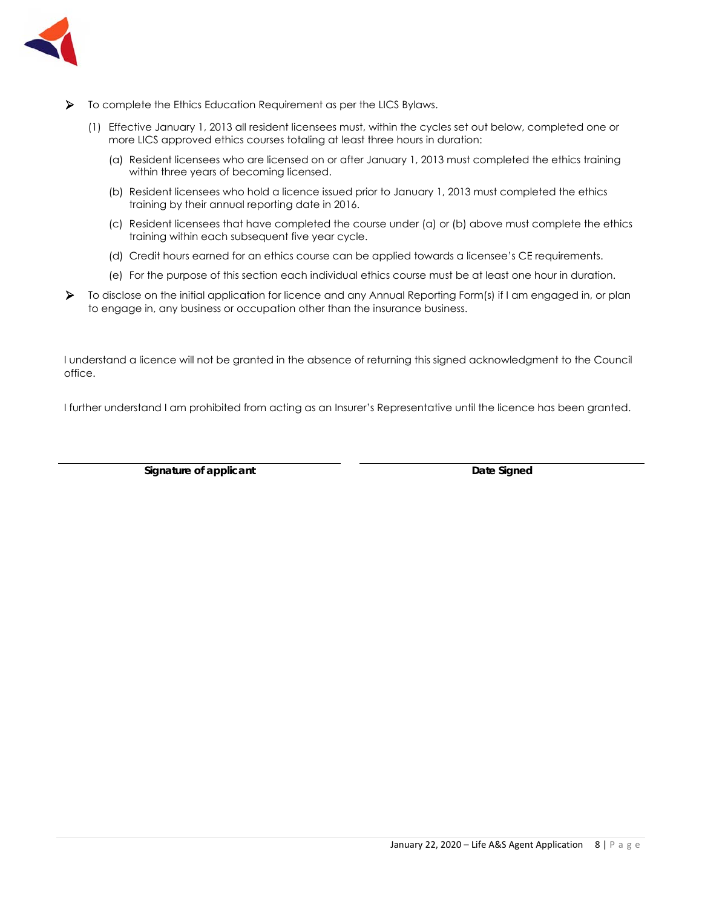

- To complete the Ethics Education Requirement as per the LICS Bylaws.
	- (1) Effective January 1, 2013 all resident licensees must, within the cycles set out below, completed one or more LICS approved ethics courses totaling at least three hours in duration:
		- (a) Resident licensees who are licensed on or after January 1, 2013 must completed the ethics training within three years of becoming licensed.
		- (b) Resident licensees who hold a licence issued prior to January 1, 2013 must completed the ethics training by their annual reporting date in 2016.
		- (c) Resident licensees that have completed the course under (a) or (b) above must complete the ethics training within each subsequent five year cycle.
		- (d) Credit hours earned for an ethics course can be applied towards a licensee's CE requirements.
		- (e) For the purpose of this section each individual ethics course must be at least one hour in duration.
- To disclose on the initial application for licence and any Annual Reporting Form(s) if I am engaged in, or plan to engage in, any business or occupation other than the insurance business.

I understand a licence will not be granted in the absence of returning this signed acknowledgment to the Council office.

I further understand I am prohibited from acting as an Insurer's Representative until the licence has been granted.

**Signature of applicant Community Community Community Community Community Community Community Community Community Community Community Community Community Community Community Community Community Community Community Communit**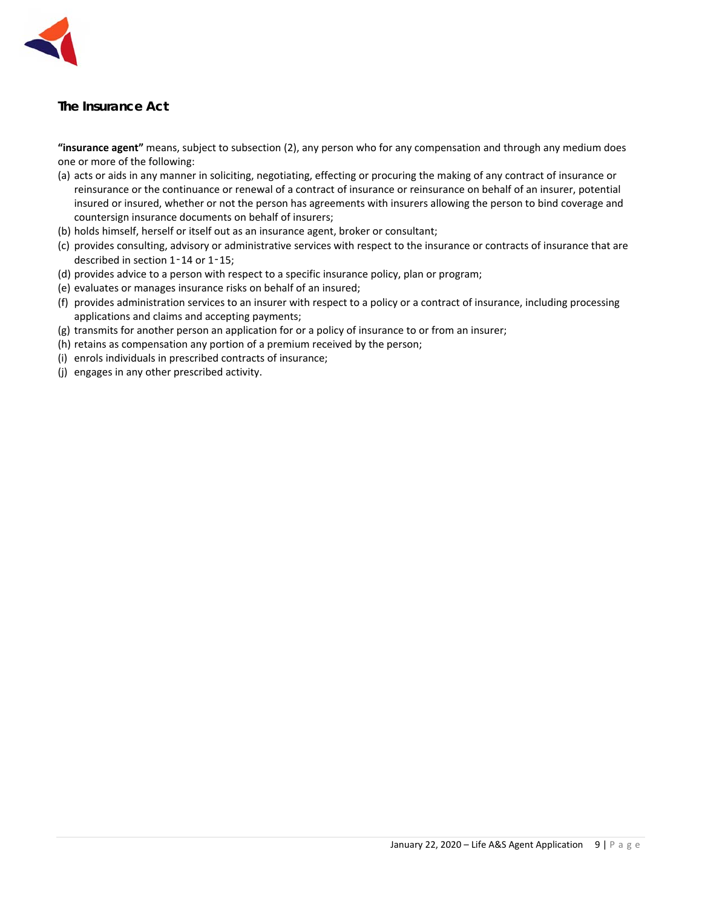

# *The Insurance Act*

**"insurance agent"** means, subject to subsection (2), any person who for any compensation and through any medium does one or more of the following:

- (a) acts or aids in any manner in soliciting, negotiating, effecting or procuring the making of any contract of insurance or reinsurance or the continuance or renewal of a contract of insurance or reinsurance on behalf of an insurer, potential insured or insured, whether or not the person has agreements with insurers allowing the person to bind coverage and countersign insurance documents on behalf of insurers;
- (b) holds himself, herself or itself out as an insurance agent, broker or consultant;
- (c) provides consulting, advisory or administrative services with respect to the insurance or contracts of insurance that are described in section 1-14 or 1-15;
- (d) provides advice to a person with respect to a specific insurance policy, plan or program;
- (e) evaluates or manages insurance risks on behalf of an insured;
- (f) provides administration services to an insurer with respect to a policy or a contract of insurance, including processing applications and claims and accepting payments;
- (g) transmits for another person an application for or a policy of insurance to or from an insurer;
- (h) retains as compensation any portion of a premium received by the person;
- (i) enrols individuals in prescribed contracts of insurance;
- (j) engages in any other prescribed activity.